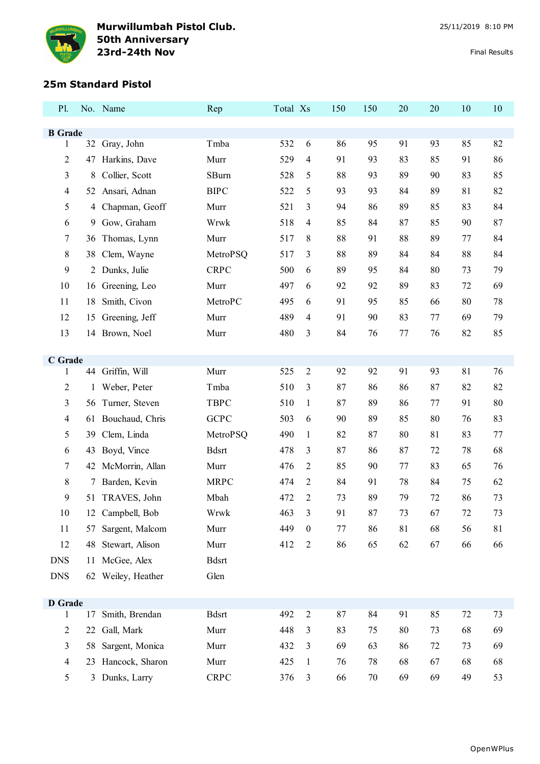

## **25m Standard Pistol**

| P1.                 |                | No. Name           | Rep          | Total Xs |                  | 150     | 150 | 20 | 20 | 10 | 10 |
|---------------------|----------------|--------------------|--------------|----------|------------------|---------|-----|----|----|----|----|
| <b>B</b> Grade      |                |                    |              |          |                  |         |     |    |    |    |    |
| $\mathbf{1}$        |                | 32 Gray, John      | Tmba         | 532      | 6                | 86      | 95  | 91 | 93 | 85 | 82 |
| $\overline{2}$      | 47             | Harkins, Dave      | Murr         | 529      | 4                | 91      | 93  | 83 | 85 | 91 | 86 |
| 3                   | 8              | Collier, Scott     | <b>SBurn</b> | 528      | 5                | 88      | 93  | 89 | 90 | 83 | 85 |
| $\overline{4}$      | 52             | Ansari, Adnan      | <b>BIPC</b>  | 522      | 5                | 93      | 93  | 84 | 89 | 81 | 82 |
| 5                   | $\overline{4}$ | Chapman, Geoff     | Murr         | 521      | 3                | 94      | 86  | 89 | 85 | 83 | 84 |
| 6                   | 9              | Gow, Graham        | Wrwk         | 518      | 4                | 85      | 84  | 87 | 85 | 90 | 87 |
| 7                   | 36             | Thomas, Lynn       | Murr         | 517      | 8                | 88      | 91  | 88 | 89 | 77 | 84 |
| 8                   | 38             | Clem, Wayne        | MetroPSQ     | 517      | 3                | 88      | 89  | 84 | 84 | 88 | 84 |
| 9                   |                | 2 Dunks, Julie     | <b>CRPC</b>  | 500      | 6                | 89      | 95  | 84 | 80 | 73 | 79 |
| 10                  | 16             | Greening, Leo      | Murr         | 497      | 6                | 92      | 92  | 89 | 83 | 72 | 69 |
| 11                  | 18             | Smith, Civon       | MetroPC      | 495      | 6                | 91      | 95  | 85 | 66 | 80 | 78 |
| 12                  | 15             | Greening, Jeff     | Murr         | 489      | 4                | 91      | 90  | 83 | 77 | 69 | 79 |
| 13                  |                | 14 Brown, Noel     | Murr         | 480      | 3                | 84      | 76  | 77 | 76 | 82 | 85 |
| C Grade             |                |                    |              |          |                  |         |     |    |    |    |    |
| 1                   |                | 44 Griffin, Will   | Murr         | 525      | $\overline{2}$   | 92      | 92  | 91 | 93 | 81 | 76 |
| $\overline{2}$      | 1              | Weber, Peter       | Tmba         | 510      | 3                | 87      | 86  | 86 | 87 | 82 | 82 |
| 3                   | 56             | Turner, Steven     | <b>TBPC</b>  | 510      | $\mathbf{1}$     | 87      | 89  | 86 | 77 | 91 | 80 |
| $\overline{4}$      |                | 61 Bouchaud, Chris | <b>GCPC</b>  | 503      | 6                | 90      | 89  | 85 | 80 | 76 | 83 |
| 5                   | 39             | Clem, Linda        | MetroPSQ     | 490      | $\mathbf{1}$     | 82      | 87  | 80 | 81 | 83 | 77 |
| 6                   | 43             | Boyd, Vince        | <b>Bdsrt</b> | 478      | 3                | 87      | 86  | 87 | 72 | 78 | 68 |
| 7                   |                | 42 McMorrin, Allan | Murr         | 476      | 2                | 85      | 90  | 77 | 83 | 65 | 76 |
| 8                   | 7              | Barden, Kevin      | <b>MRPC</b>  | 474      | 2                | 84      | 91  | 78 | 84 | 75 | 62 |
| 9                   |                | 51 TRAVES, John    | Mbah         | 472      | 2                | 73      | 89  | 79 | 72 | 86 | 73 |
| 10                  |                | 12 Campbell, Bob   | Wrwk         | 463      | 3                | 91      | 87  | 73 | 67 | 72 | 73 |
| 11                  | 57             | Sargent, Malcom    | Murr         | 449      | $\boldsymbol{0}$ | $77 \,$ | 86  | 81 | 68 | 56 | 81 |
| 12                  |                | 48 Stewart, Alison | Murr         | 412      | $\mathfrak{2}$   | 86      | 65  | 62 | 67 | 66 | 66 |
| <b>DNS</b>          |                | 11 McGee, Alex     | <b>Bdsrt</b> |          |                  |         |     |    |    |    |    |
| <b>DNS</b>          |                | 62 Weiley, Heather | Glen         |          |                  |         |     |    |    |    |    |
|                     |                |                    |              |          |                  |         |     |    |    |    |    |
| <b>D</b> Grade<br>1 | 17             | Smith, Brendan     | <b>Bdsrt</b> | 492      | $\overline{c}$   | 87      | 84  | 91 | 85 | 72 | 73 |
| $\overline{2}$      | 22             | Gall, Mark         | Murr         | 448      | 3                | 83      | 75  | 80 | 73 | 68 | 69 |
| 3                   | 58             | Sargent, Monica    | Murr         | 432      | 3                | 69      | 63  | 86 | 72 | 73 | 69 |
| $\overline{4}$      |                | 23 Hancock, Sharon | Murr         | 425      | $\mathbf{1}$     | 76      | 78  | 68 | 67 | 68 | 68 |
| 5                   |                | 3 Dunks, Larry     | <b>CRPC</b>  | 376      | $\mathfrak{Z}$   | 66      | 70  | 69 | 69 | 49 | 53 |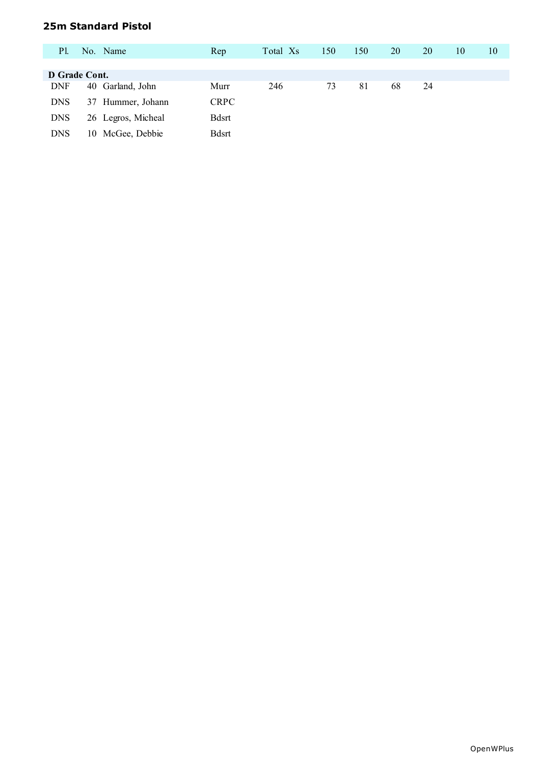## **25m Standard Pistol**

| <b>P1.</b> | No. Name             | Rep         | Total Xs | 150 | 150 | 20 | 20 | 10 | 10 |
|------------|----------------------|-------------|----------|-----|-----|----|----|----|----|
|            |                      |             |          |     |     |    |    |    |    |
|            | D Grade Cont.        |             |          |     |     |    |    |    |    |
| <b>DNF</b> | 40 Garland, John     | Murr        | 246      | 73  | 81  | 68 | 24 |    |    |
| <b>DNS</b> | Hummer, Johann<br>37 | <b>CRPC</b> |          |     |     |    |    |    |    |
| <b>DNS</b> | 26 Legros, Micheal   | Bdsrt       |          |     |     |    |    |    |    |
| <b>DNS</b> | McGee, Debbie<br>10  | Bdsrt       |          |     |     |    |    |    |    |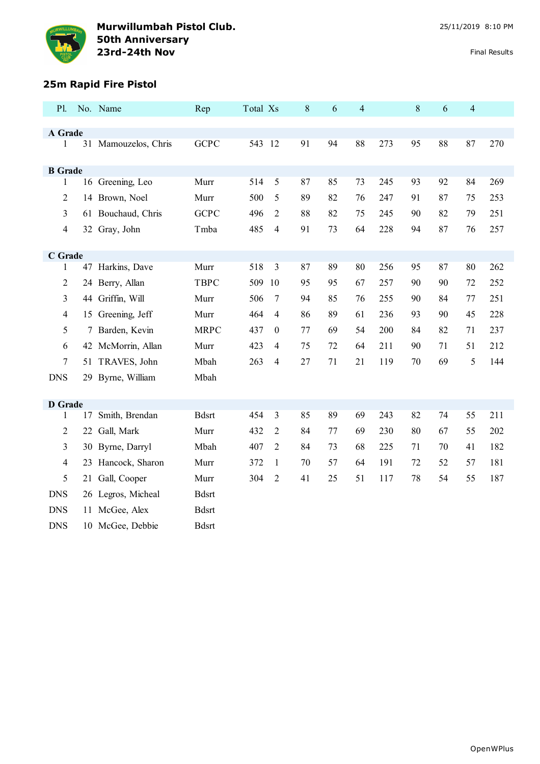

# **25m Rapid Fire Pistol**

| <b>P1.</b>     |    | No. Name             | Rep          | Total Xs |                  | $\,8\,$ | 6  | $\overline{4}$ |     | $8\,$ | 6  | $\overline{4}$ |     |
|----------------|----|----------------------|--------------|----------|------------------|---------|----|----------------|-----|-------|----|----------------|-----|
|                |    |                      |              |          |                  |         |    |                |     |       |    |                |     |
| A Grade<br>1   |    | 31 Mamouzelos, Chris | <b>GCPC</b>  | 543 12   |                  | 91      | 94 | 88             | 273 | 95    | 88 | 87             | 270 |
|                |    |                      |              |          |                  |         |    |                |     |       |    |                |     |
| <b>B</b> Grade |    |                      |              |          |                  |         |    |                |     |       |    |                |     |
| 1              |    | 16 Greening, Leo     | Murr         | 514      | 5                | 87      | 85 | 73             | 245 | 93    | 92 | 84             | 269 |
| $\overline{2}$ |    | 14 Brown, Noel       | Murr         | 500      | 5                | 89      | 82 | 76             | 247 | 91    | 87 | 75             | 253 |
| 3              |    | 61 Bouchaud, Chris   | <b>GCPC</b>  | 496      | 2                | 88      | 82 | 75             | 245 | 90    | 82 | 79             | 251 |
| $\overline{4}$ |    | 32 Gray, John        | Tmba         | 485      | 4                | 91      | 73 | 64             | 228 | 94    | 87 | 76             | 257 |
|                |    |                      |              |          |                  |         |    |                |     |       |    |                |     |
| C Grade        |    |                      |              |          |                  |         |    |                |     |       |    |                |     |
| 1              |    | 47 Harkins, Dave     | Murr         | 518      | 3                | 87      | 89 | 80             | 256 | 95    | 87 | 80             | 262 |
| $\overline{2}$ |    | 24 Berry, Allan      | <b>TBPC</b>  | 509      | 10               | 95      | 95 | 67             | 257 | 90    | 90 | 72             | 252 |
| 3              |    | 44 Griffin, Will     | Murr         | 506      | $\overline{7}$   | 94      | 85 | 76             | 255 | 90    | 84 | 77             | 251 |
| $\overline{4}$ |    | 15 Greening, Jeff    | Murr         | 464      | 4                | 86      | 89 | 61             | 236 | 93    | 90 | 45             | 228 |
| 5              |    | 7 Barden, Kevin      | <b>MRPC</b>  | 437      | $\boldsymbol{0}$ | 77      | 69 | 54             | 200 | 84    | 82 | 71             | 237 |
| 6              |    | 42 McMorrin, Allan   | Murr         | 423      | 4                | 75      | 72 | 64             | 211 | 90    | 71 | 51             | 212 |
| 7              |    | 51 TRAVES, John      | Mbah         | 263      | 4                | 27      | 71 | 21             | 119 | 70    | 69 | 5              | 144 |
| <b>DNS</b>     |    | 29 Byrne, William    | Mbah         |          |                  |         |    |                |     |       |    |                |     |
|                |    |                      |              |          |                  |         |    |                |     |       |    |                |     |
| <b>D</b> Grade |    |                      |              |          |                  |         |    |                |     |       |    |                |     |
| 1              | 17 | Smith, Brendan       | <b>Bdsrt</b> | 454      | 3                | 85      | 89 | 69             | 243 | 82    | 74 | 55             | 211 |
| $\overline{2}$ |    | 22 Gall, Mark        | Murr         | 432      | 2                | 84      | 77 | 69             | 230 | 80    | 67 | 55             | 202 |
| 3              |    | 30 Byrne, Darryl     | Mbah         | 407      | $\overline{2}$   | 84      | 73 | 68             | 225 | 71    | 70 | 41             | 182 |
| $\overline{4}$ |    | 23 Hancock, Sharon   | Murr         | 372      | $\mathbf{1}$     | 70      | 57 | 64             | 191 | 72    | 52 | 57             | 181 |
| 5              | 21 | Gall, Cooper         | Murr         | 304      | $\overline{2}$   | 41      | 25 | 51             | 117 | 78    | 54 | 55             | 187 |
| <b>DNS</b>     |    | 26 Legros, Micheal   | <b>Bdsrt</b> |          |                  |         |    |                |     |       |    |                |     |
| <b>DNS</b>     |    | 11 McGee, Alex       | <b>Bdsrt</b> |          |                  |         |    |                |     |       |    |                |     |
| <b>DNS</b>     |    | 10 McGee, Debbie     | <b>Bdsrt</b> |          |                  |         |    |                |     |       |    |                |     |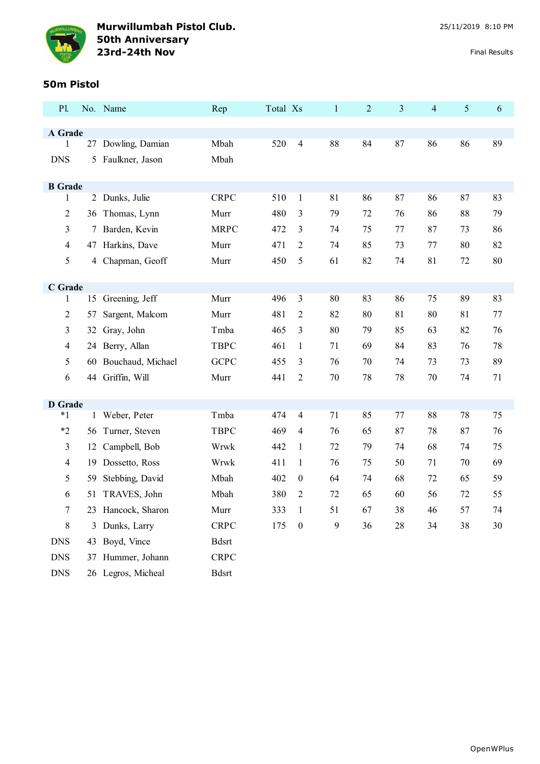

### **50m Pistol**

| P1.                      |    | No. Name             | Rep          | Total Xs |                  | $\mathbf{1}$ | $\overline{2}$ | 3  | 4  | $\mathfrak{S}$ | 6  |
|--------------------------|----|----------------------|--------------|----------|------------------|--------------|----------------|----|----|----------------|----|
|                          |    |                      |              |          |                  |              |                |    |    |                |    |
| A Grade<br>1             |    | 27 Dowling, Damian   | Mbah         | 520      | $\overline{4}$   | 88           | 84             | 87 | 86 | 86             | 89 |
| <b>DNS</b>               | 5  | Faulkner, Jason      | Mbah         |          |                  |              |                |    |    |                |    |
|                          |    |                      |              |          |                  |              |                |    |    |                |    |
| <b>B</b> Grade           |    |                      |              |          |                  |              |                |    |    |                |    |
| $\mathbf{1}$             |    | 2 Dunks, Julie       | <b>CRPC</b>  | 510      | $\mathbf{1}$     | 81           | 86             | 87 | 86 | 87             | 83 |
| $\overline{c}$           |    | 36 Thomas, Lynn      | Murr         | 480      | 3                | 79           | 72             | 76 | 86 | 88             | 79 |
| 3                        | 7  | Barden, Kevin        | <b>MRPC</b>  | 472      | 3                | 74           | 75             | 77 | 87 | 73             | 86 |
| 4                        |    | 47 Harkins, Dave     | Murr         | 471      | $\overline{2}$   | 74           | 85             | 73 | 77 | 80             | 82 |
| 5                        | 4  | Chapman, Geoff       | Murr         | 450      | 5                | 61           | 82             | 74 | 81 | 72             | 80 |
|                          |    |                      |              |          |                  |              |                |    |    |                |    |
| C Grade                  |    |                      |              |          |                  |              |                |    |    |                |    |
| 1                        |    | 15 Greening, Jeff    | Murr         | 496      | $\mathfrak{Z}$   | 80           | 83             | 86 | 75 | 89             | 83 |
| $\overline{c}$           | 57 | Sargent, Malcom      | Murr         | 481      | $\overline{2}$   | 82           | 80             | 81 | 80 | 81             | 77 |
| 3                        | 32 | Gray, John           | Tmba         | 465      | $\mathfrak{Z}$   | 80           | 79             | 85 | 63 | 82             | 76 |
| 4                        |    | 24 Berry, Allan      | <b>TBPC</b>  | 461      | $\mathbf{1}$     | 71           | 69             | 84 | 83 | 76             | 78 |
| 5                        |    | 60 Bouchaud, Michael | <b>GCPC</b>  | 455      | 3                | 76           | 70             | 74 | 73 | 73             | 89 |
| 6                        |    | 44 Griffin, Will     | Murr         | 441      | 2                | 70           | 78             | 78 | 70 | 74             | 71 |
|                          |    |                      |              |          |                  |              |                |    |    |                |    |
| <b>D</b> Grade<br>$*1$   |    | 1 Weber, Peter       | Tmba         | 474      | $\overline{4}$   | 71           | 85             | 77 | 88 | 78             | 75 |
|                          |    |                      |              |          |                  |              |                |    |    |                |    |
| $*2$                     | 56 | Turner, Steven       | <b>TBPC</b>  | 469      | 4                | 76           | 65             | 87 | 78 | 87             | 76 |
| 3                        | 12 | Campbell, Bob        | Wrwk         | 442      | 1                | 72           | 79             | 74 | 68 | 74             | 75 |
| $\overline{\mathcal{L}}$ | 19 | Dossetto, Ross       | Wrwk         | 411      | 1                | 76           | 75             | 50 | 71 | 70             | 69 |
| 5                        | 59 | Stebbing, David      | Mbah         | 402      | $\boldsymbol{0}$ | 64           | 74             | 68 | 72 | 65             | 59 |
| 6                        |    | 51 TRAVES, John      | Mbah         | 380      | $\overline{2}$   | 72           | 65             | 60 | 56 | 72             | 55 |
| 7                        |    | 23 Hancock, Sharon   | Murr         | 333      | $\mathbf{1}$     | 51           | 67             | 38 | 46 | 57             | 74 |
| 8                        |    | 3 Dunks, Larry       | <b>CRPC</b>  | 175      | $\boldsymbol{0}$ | 9            | 36             | 28 | 34 | 38             | 30 |
| <b>DNS</b>               |    | 43 Boyd, Vince       | <b>Bdsrt</b> |          |                  |              |                |    |    |                |    |
| <b>DNS</b>               |    | 37 Hummer, Johann    | <b>CRPC</b>  |          |                  |              |                |    |    |                |    |
| <b>DNS</b>               |    | 26 Legros, Micheal   | <b>Bdsrt</b> |          |                  |              |                |    |    |                |    |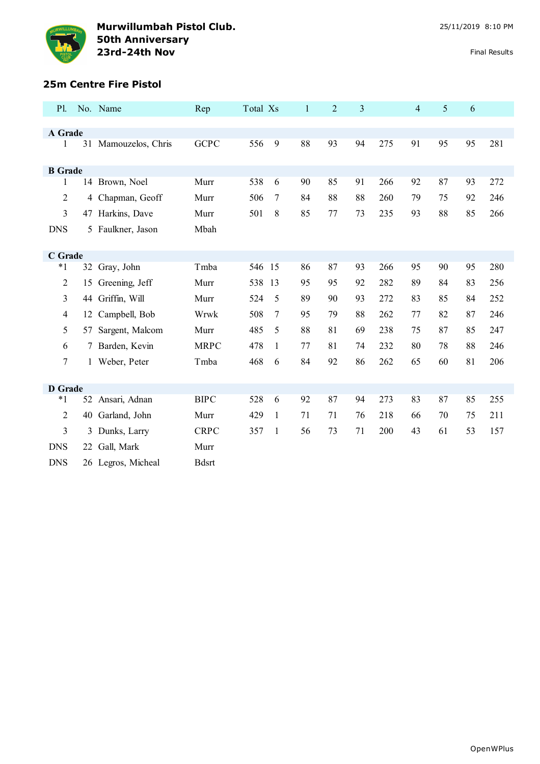

## **25m Centre Fire Pistol**

| <b>P1.</b>     |    | No. Name             | Rep          | Total Xs |              | $\mathbf{1}$ | $\overline{2}$ | 3  |     | $\overline{4}$ | 5  | 6  |     |
|----------------|----|----------------------|--------------|----------|--------------|--------------|----------------|----|-----|----------------|----|----|-----|
|                |    |                      |              |          |              |              |                |    |     |                |    |    |     |
| A Grade<br>1   |    |                      | <b>GCPC</b>  | 556      | 9            | 88           | 93             | 94 | 275 | 91             | 95 | 95 | 281 |
|                |    | 31 Mamouzelos, Chris |              |          |              |              |                |    |     |                |    |    |     |
| <b>B</b> Grade |    |                      |              |          |              |              |                |    |     |                |    |    |     |
| 1              |    | 14 Brown, Noel       | Murr         | 538      | 6            | 90           | 85             | 91 | 266 | 92             | 87 | 93 | 272 |
| $\overline{2}$ |    | 4 Chapman, Geoff     | Murr         | 506      | 7            | 84           | 88             | 88 | 260 | 79             | 75 | 92 | 246 |
| 3              |    | 47 Harkins, Dave     | Murr         | 501      | 8            | 85           | 77             | 73 | 235 | 93             | 88 | 85 | 266 |
| <b>DNS</b>     |    | 5 Faulkner, Jason    | Mbah         |          |              |              |                |    |     |                |    |    |     |
|                |    |                      |              |          |              |              |                |    |     |                |    |    |     |
| C Grade        |    |                      |              |          |              |              |                |    |     |                |    |    |     |
| $*1$           |    | 32 Gray, John        | Tmba         | 546 15   |              | 86           | 87             | 93 | 266 | 95             | 90 | 95 | 280 |
| $\mathfrak{2}$ | 15 | Greening, Jeff       | Murr         | 538 13   |              | 95           | 95             | 92 | 282 | 89             | 84 | 83 | 256 |
| 3              |    | 44 Griffin, Will     | Murr         | 524      | 5            | 89           | 90             | 93 | 272 | 83             | 85 | 84 | 252 |
| $\overline{4}$ | 12 | Campbell, Bob        | Wrwk         | 508      | 7            | 95           | 79             | 88 | 262 | 77             | 82 | 87 | 246 |
| 5              | 57 | Sargent, Malcom      | Murr         | 485      | 5            | 88           | 81             | 69 | 238 | 75             | 87 | 85 | 247 |
| 6              |    | 7 Barden, Kevin      | <b>MRPC</b>  | 478      | $\mathbf{1}$ | 77           | 81             | 74 | 232 | 80             | 78 | 88 | 246 |
| $\tau$         |    | 1 Weber, Peter       | Tmba         | 468      | 6            | 84           | 92             | 86 | 262 | 65             | 60 | 81 | 206 |
|                |    |                      |              |          |              |              |                |    |     |                |    |    |     |
| <b>D</b> Grade |    |                      |              |          |              |              |                |    |     |                |    |    |     |
| $*1$           |    | 52 Ansari, Adnan     | <b>BIPC</b>  | 528      | 6            | 92           | 87             | 94 | 273 | 83             | 87 | 85 | 255 |
| 2              | 40 | Garland, John        | Murr         | 429      | 1            | 71           | 71             | 76 | 218 | 66             | 70 | 75 | 211 |
| 3              |    | 3 Dunks, Larry       | <b>CRPC</b>  | 357      | 1            | 56           | 73             | 71 | 200 | 43             | 61 | 53 | 157 |
| <b>DNS</b>     | 22 | Gall, Mark           | Murr         |          |              |              |                |    |     |                |    |    |     |
| <b>DNS</b>     |    | 26 Legros, Micheal   | <b>Bdsrt</b> |          |              |              |                |    |     |                |    |    |     |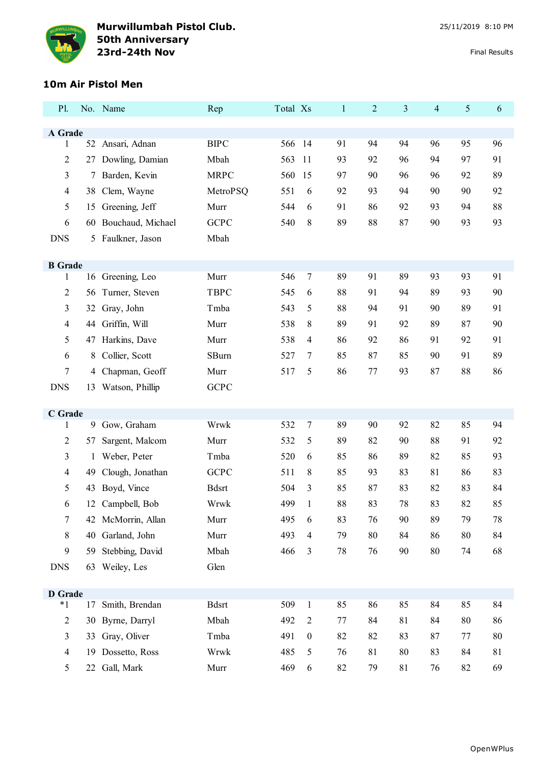

## **10m Air Pistol Men**

| P1.                 |    | No. Name           | Rep          | Total Xs |                  | $\mathbf{1}$ | 2  | 3  | $\overline{4}$ | 5      | 6  |
|---------------------|----|--------------------|--------------|----------|------------------|--------------|----|----|----------------|--------|----|
| A Grade             |    |                    |              |          |                  |              |    |    |                |        |    |
| $\mathbf{1}$        |    | 52 Ansari, Adnan   | <b>BIPC</b>  | 566      | 14               | 91           | 94 | 94 | 96             | 95     | 96 |
| $\overline{2}$      | 27 | Dowling, Damian    | Mbah         | 563      | 11               | 93           | 92 | 96 | 94             | 97     | 91 |
| 3                   | 7  | Barden, Kevin      | <b>MRPC</b>  | 560      | 15               | 97           | 90 | 96 | 96             | 92     | 89 |
| $\overline{4}$      | 38 | Clem, Wayne        | MetroPSQ     | 551      | 6                | 92           | 93 | 94 | 90             | 90     | 92 |
| 5                   | 15 | Greening, Jeff     | Murr         | 544      | 6                | 91           | 86 | 92 | 93             | 94     | 88 |
| 6                   | 60 | Bouchaud, Michael  | <b>GCPC</b>  | 540      | 8                | 89           | 88 | 87 | 90             | 93     | 93 |
| <b>DNS</b>          |    | 5 Faulkner, Jason  | Mbah         |          |                  |              |    |    |                |        |    |
|                     |    |                    |              |          |                  |              |    |    |                |        |    |
| <b>B</b> Grade<br>1 |    | 16 Greening, Leo   | Murr         | 546      | $\tau$           | 89           | 91 | 89 | 93             | 93     | 91 |
| $\overline{2}$      | 56 | Turner, Steven     | <b>TBPC</b>  | 545      | 6                | 88           | 91 | 94 | 89             | 93     | 90 |
| 3                   | 32 | Gray, John         | Tmba         | 543      | 5                | 88           | 94 | 91 | 90             | 89     | 91 |
| $\overline{4}$      | 44 | Griffin, Will      | Murr         | 538      | 8                | 89           | 91 | 92 | 89             | 87     | 90 |
| 5                   | 47 | Harkins, Dave      | Murr         | 538      | $\overline{4}$   | 86           | 92 | 86 | 91             | 92     | 91 |
| 6                   | 8  | Collier, Scott     | SBurn        | 527      | $\overline{7}$   | 85           | 87 | 85 | 90             | 91     | 89 |
| $\tau$              | 4  | Chapman, Geoff     | Murr         | 517      | 5                | 86           | 77 | 93 | 87             | 88     | 86 |
| <b>DNS</b>          | 13 | Watson, Phillip    | <b>GCPC</b>  |          |                  |              |    |    |                |        |    |
|                     |    |                    |              |          |                  |              |    |    |                |        |    |
| C Grade             |    |                    |              |          |                  |              |    |    |                |        |    |
| $\mathbf{1}$        |    | 9 Gow, Graham      | Wrwk         | 532      | $\tau$           | 89           | 90 | 92 | 82             | 85     | 94 |
| 2                   | 57 | Sargent, Malcom    | Murr         | 532      | 5                | 89           | 82 | 90 | 88             | 91     | 92 |
| 3                   | 1  | Weber, Peter       | Tmba         | 520      | 6                | 85           | 86 | 89 | 82             | 85     | 93 |
| $\overline{4}$      | 49 | Clough, Jonathan   | <b>GCPC</b>  | 511      | 8                | 85           | 93 | 83 | 81             | 86     | 83 |
| 5                   | 43 | Boyd, Vince        | <b>Bdsrt</b> | 504      | 3                | 85           | 87 | 83 | 82             | 83     | 84 |
| 6                   | 12 | Campbell, Bob      | Wrwk         | 499      | $\mathbf{1}$     | 88           | 83 | 78 | 83             | 82     | 85 |
| 7                   |    | 42 McMorrin, Allan | Murr         | 495      | 6                | 83           | 76 | 90 | 89             | 79     | 78 |
| 8                   |    | 40 Garland, John   | Murr         | 493      | $\overline{4}$   | 79           | 80 | 84 | 86             | $80\,$ | 84 |
| 9                   | 59 | Stebbing, David    | Mbah         | 466      | $\mathfrak{Z}$   | 78           | 76 | 90 | 80             | 74     | 68 |
| <b>DNS</b>          |    | 63 Weiley, Les     | Glen         |          |                  |              |    |    |                |        |    |
| <b>D</b> Grade      |    |                    |              |          |                  |              |    |    |                |        |    |
| $^\ast1$            | 17 | Smith, Brendan     | <b>Bdsrt</b> | 509      | $\mathbf{1}$     | 85           | 86 | 85 | 84             | 85     | 84 |
| $\overline{2}$      |    | 30 Byrne, Darryl   | Mbah         | 492      | $\mathfrak{2}$   | 77           | 84 | 81 | 84             | 80     | 86 |
| 3                   | 33 | Gray, Oliver       | Tmba         | 491      | $\boldsymbol{0}$ | 82           | 82 | 83 | 87             | 77     | 80 |
| $\overline{4}$      | 19 | Dossetto, Ross     | Wrwk         | 485      | $\mathfrak{S}$   | 76           | 81 | 80 | 83             | 84     | 81 |
| 5                   |    | 22 Gall, Mark      | Murr         | 469      | 6                | 82           | 79 | 81 | 76             | 82     | 69 |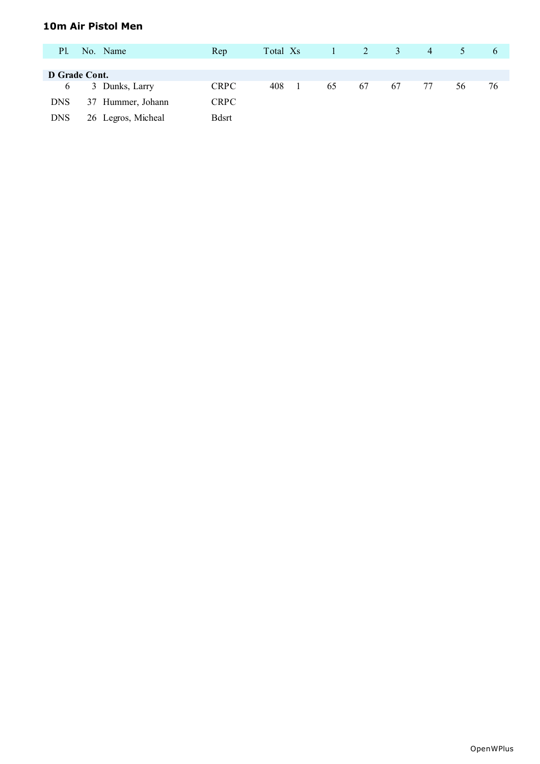### **10m Air Pistol Men**

| Pl.           | No. Name           | Rep           | Total Xs | $1 \quad 2$ |    | $\overline{3}$ | 4  |    | $\sigma$ |
|---------------|--------------------|---------------|----------|-------------|----|----------------|----|----|----------|
|               |                    |               |          |             |    |                |    |    |          |
| D Grade Cont. |                    |               |          |             |    |                |    |    |          |
| 6             | 3 Dunks, Larry     | <b>CRPC</b>   | 408      | 65          | 67 | 67             | 77 | 56 | 76       |
| <b>DNS</b>    | 37 Hummer, Johann  | <b>CRPC</b>   |          |             |    |                |    |    |          |
| <b>DNS</b>    | 26 Legros, Micheal | <b>B</b> dsrt |          |             |    |                |    |    |          |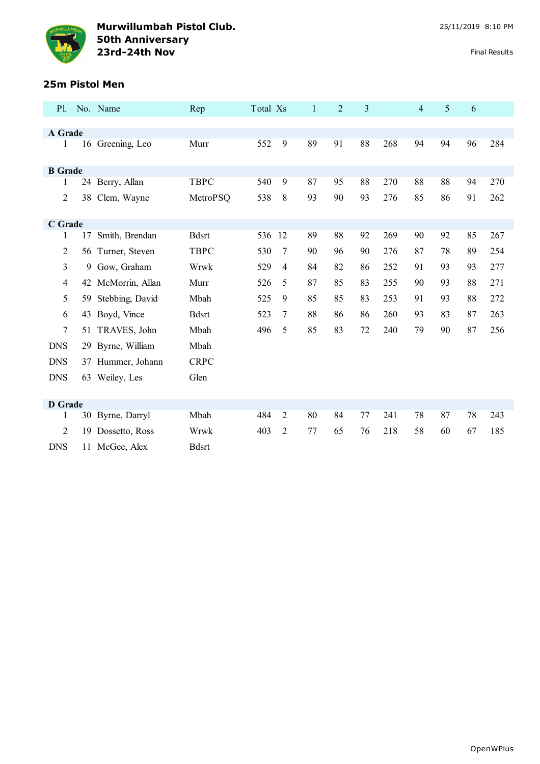

## **25m Pistol Men**

| <b>P1.</b>     |    | No. Name           | Rep          | Total Xs |                | $\mathbf{1}$ | $\overline{2}$ | 3  |     | 4  | 5  | 6  |     |
|----------------|----|--------------------|--------------|----------|----------------|--------------|----------------|----|-----|----|----|----|-----|
|                |    |                    |              |          |                |              |                |    |     |    |    |    |     |
| A Grade        |    |                    |              |          |                |              |                |    |     |    |    |    |     |
| 1              |    | 16 Greening, Leo   | Murr         | 552      | 9              | 89           | 91             | 88 | 268 | 94 | 94 | 96 | 284 |
|                |    |                    |              |          |                |              |                |    |     |    |    |    |     |
| <b>B</b> Grade |    |                    |              |          |                |              |                |    |     |    |    |    |     |
| 1              |    | 24 Berry, Allan    | <b>TBPC</b>  | 540      | 9              | 87           | 95             | 88 | 270 | 88 | 88 | 94 | 270 |
| $\overline{2}$ |    | 38 Clem, Wayne     | MetroPSQ     | 538      | 8              | 93           | 90             | 93 | 276 | 85 | 86 | 91 | 262 |
|                |    |                    |              |          |                |              |                |    |     |    |    |    |     |
| C Grade        |    |                    |              |          |                |              |                |    |     |    |    |    |     |
| 1              | 17 | Smith, Brendan     | <b>Bdsrt</b> | 536      | 12             | 89           | 88             | 92 | 269 | 90 | 92 | 85 | 267 |
| $\overline{c}$ |    | 56 Turner, Steven  | <b>TBPC</b>  | 530      | 7              | 90           | 96             | 90 | 276 | 87 | 78 | 89 | 254 |
| 3              | 9  | Gow, Graham        | Wrwk         | 529      | 4              | 84           | 82             | 86 | 252 | 91 | 93 | 93 | 277 |
| 4              |    | 42 McMorrin, Allan | Murr         | 526      | 5              | 87           | 85             | 83 | 255 | 90 | 93 | 88 | 271 |
| 5              | 59 | Stebbing, David    | Mbah         | 525      | 9              | 85           | 85             | 83 | 253 | 91 | 93 | 88 | 272 |
| 6              | 43 | Boyd, Vince        | <b>Bdsrt</b> | 523      | 7              | 88           | 86             | 86 | 260 | 93 | 83 | 87 | 263 |
| $\tau$         | 51 | TRAVES, John       | Mbah         | 496      | 5              | 85           | 83             | 72 | 240 | 79 | 90 | 87 | 256 |
| <b>DNS</b>     |    | 29 Byrne, William  | Mbah         |          |                |              |                |    |     |    |    |    |     |
| <b>DNS</b>     | 37 | Hummer, Johann     | <b>CRPC</b>  |          |                |              |                |    |     |    |    |    |     |
| <b>DNS</b>     |    | 63 Weiley, Les     | Glen         |          |                |              |                |    |     |    |    |    |     |
|                |    |                    |              |          |                |              |                |    |     |    |    |    |     |
| <b>D</b> Grade |    |                    |              |          |                |              |                |    |     |    |    |    |     |
| 1              |    | 30 Byrne, Darryl   | Mbah         | 484      | $\overline{2}$ | 80           | 84             | 77 | 241 | 78 | 87 | 78 | 243 |
| 2              | 19 | Dossetto, Ross     | Wrwk         | 403      | 2              | 77           | 65             | 76 | 218 | 58 | 60 | 67 | 185 |
| <b>DNS</b>     |    | 11 McGee, Alex     | <b>Bdsrt</b> |          |                |              |                |    |     |    |    |    |     |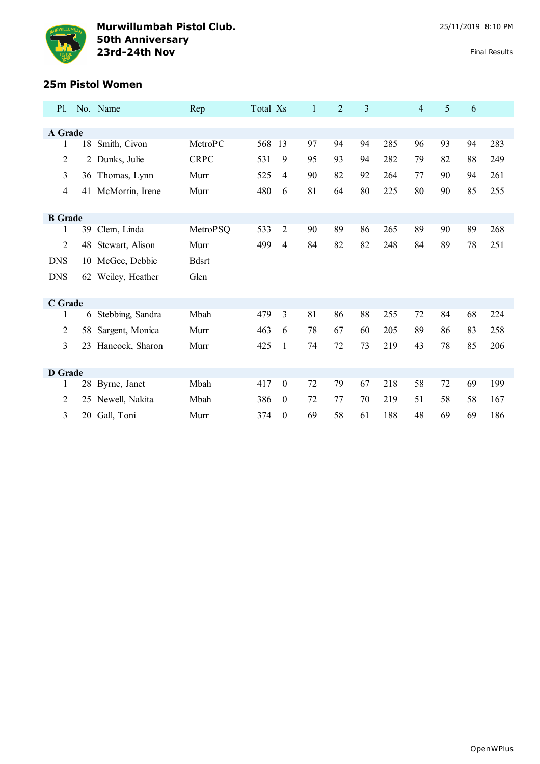

## **25m Pistol Women**

| P1.            |    | No. Name           | Rep          | Total Xs |                  | $\mathbf{1}$ | $\overline{2}$ | 3  |     | $\overline{4}$ | 5  | 6  |     |
|----------------|----|--------------------|--------------|----------|------------------|--------------|----------------|----|-----|----------------|----|----|-----|
|                |    |                    |              |          |                  |              |                |    |     |                |    |    |     |
| A Grade        |    |                    |              |          |                  |              |                |    |     |                |    |    |     |
| 1              | 18 | Smith, Civon       | MetroPC      | 568      | -13              | 97           | 94             | 94 | 285 | 96             | 93 | 94 | 283 |
| $\overline{2}$ |    | 2 Dunks, Julie     | <b>CRPC</b>  | 531      | 9                | 95           | 93             | 94 | 282 | 79             | 82 | 88 | 249 |
| 3              |    | 36 Thomas, Lynn    | Murr         | 525      | 4                | 90           | 82             | 92 | 264 | 77             | 90 | 94 | 261 |
| $\overline{4}$ |    | 41 McMorrin, Irene | Murr         | 480      | 6                | 81           | 64             | 80 | 225 | 80             | 90 | 85 | 255 |
|                |    |                    |              |          |                  |              |                |    |     |                |    |    |     |
| <b>B</b> Grade |    |                    |              |          |                  |              |                |    |     |                |    |    |     |
| 1              | 39 | Clem, Linda        | MetroPSQ     | 533      | $\overline{2}$   | 90           | 89             | 86 | 265 | 89             | 90 | 89 | 268 |
| 2              | 48 | Stewart, Alison    | Murr         | 499      | 4                | 84           | 82             | 82 | 248 | 84             | 89 | 78 | 251 |
| <b>DNS</b>     |    | 10 McGee, Debbie   | <b>Bdsrt</b> |          |                  |              |                |    |     |                |    |    |     |
| <b>DNS</b>     |    | 62 Weiley, Heather | Glen         |          |                  |              |                |    |     |                |    |    |     |
|                |    |                    |              |          |                  |              |                |    |     |                |    |    |     |
| C Grade        |    |                    |              |          |                  |              |                |    |     |                |    |    |     |
| 1              | 6  | Stebbing, Sandra   | Mbah         | 479      | 3                | 81           | 86             | 88 | 255 | 72             | 84 | 68 | 224 |
| 2              | 58 | Sargent, Monica    | Murr         | 463      | 6                | 78           | 67             | 60 | 205 | 89             | 86 | 83 | 258 |
| 3              | 23 | Hancock, Sharon    | Murr         | 425      | $\mathbf{1}$     | 74           | 72             | 73 | 219 | 43             | 78 | 85 | 206 |
|                |    |                    |              |          |                  |              |                |    |     |                |    |    |     |
| <b>D</b> Grade |    |                    |              |          |                  |              |                |    |     |                |    |    |     |
| 1              | 28 | Byrne, Janet       | Mbah         | 417      | $\boldsymbol{0}$ | 72           | 79             | 67 | 218 | 58             | 72 | 69 | 199 |
| $\overline{2}$ | 25 | Newell, Nakita     | Mbah         | 386      | $\boldsymbol{0}$ | 72           | 77             | 70 | 219 | 51             | 58 | 58 | 167 |
| 3              | 20 | Gall, Toni         | Murr         | 374      | $\boldsymbol{0}$ | 69           | 58             | 61 | 188 | 48             | 69 | 69 | 186 |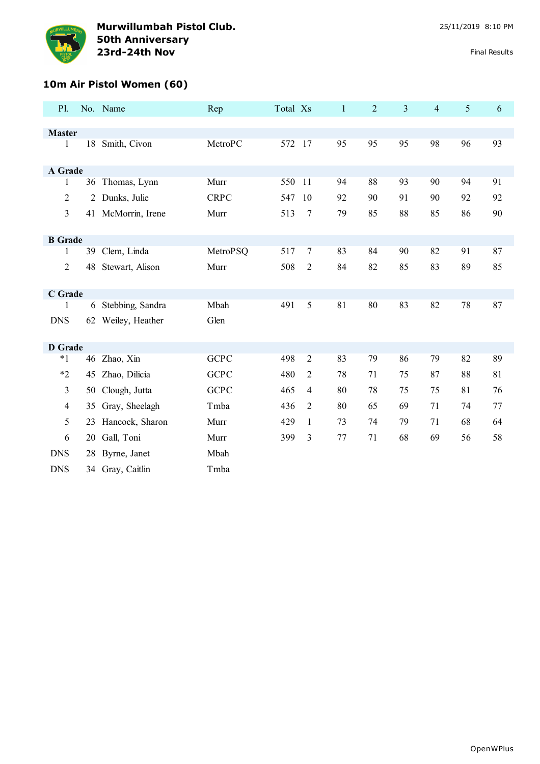

# **10m Air Pistol Women (60)**

| P1.            |    | No. Name           | Rep         | Total Xs |                | $\mathbf{1}$ | $\overline{2}$ | $\overline{3}$ | $\overline{4}$ | 5  | 6  |
|----------------|----|--------------------|-------------|----------|----------------|--------------|----------------|----------------|----------------|----|----|
|                |    |                    |             |          |                |              |                |                |                |    |    |
| <b>Master</b>  |    |                    |             |          |                |              |                |                |                |    |    |
| 1              |    | 18 Smith, Civon    | MetroPC     | 572 17   |                | 95           | 95             | 95             | 98             | 96 | 93 |
| A Grade        |    |                    |             |          |                |              |                |                |                |    |    |
| 1              |    | 36 Thomas, Lynn    | Murr        | 550      | 11             | 94           | 88             | 93             | 90             | 94 | 91 |
| $\overline{2}$ |    | 2 Dunks, Julie     | <b>CRPC</b> | 547      | 10             | 92           | 90             | 91             | 90             | 92 | 92 |
| 3              |    | 41 McMorrin, Irene | Murr        | 513      | $\tau$         | 79           | 85             | 88             | 85             | 86 | 90 |
| <b>B</b> Grade |    |                    |             |          |                |              |                |                |                |    |    |
| 1              | 39 | Clem, Linda        | MetroPSQ    | 517      | $\tau$         | 83           | 84             | 90             | 82             | 91 | 87 |
| $\overline{2}$ | 48 | Stewart, Alison    | Murr        | 508      | $\overline{c}$ | 84           | 82             | 85             | 83             | 89 | 85 |
| C Grade        |    |                    |             |          |                |              |                |                |                |    |    |
| 1              |    | 6 Stebbing, Sandra | Mbah        | 491      | 5              | 81           | 80             | 83             | 82             | 78 | 87 |
| <b>DNS</b>     | 62 | Weiley, Heather    | Glen        |          |                |              |                |                |                |    |    |
| <b>D</b> Grade |    |                    |             |          |                |              |                |                |                |    |    |
| $*1$           |    | 46 Zhao, Xin       | <b>GCPC</b> | 498      | $\overline{2}$ | 83           | 79             | 86             | 79             | 82 | 89 |
| $*2$           | 45 | Zhao, Dilicia      | <b>GCPC</b> | 480      | $\overline{2}$ | 78           | 71             | 75             | 87             | 88 | 81 |
| 3              | 50 | Clough, Jutta      | <b>GCPC</b> | 465      | $\overline{4}$ | 80           | 78             | 75             | 75             | 81 | 76 |
| $\overline{4}$ | 35 | Gray, Sheelagh     | Tmba        | 436      | $\overline{2}$ | 80           | 65             | 69             | 71             | 74 | 77 |
| 5              |    | 23 Hancock, Sharon | Murr        | 429      | $\mathbf{1}$   | 73           | 74             | 79             | 71             | 68 | 64 |
| 6              | 20 | Gall, Toni         | Murr        | 399      | 3              | $77 \,$      | 71             | 68             | 69             | 56 | 58 |
| <b>DNS</b>     | 28 | Byrne, Janet       | Mbah        |          |                |              |                |                |                |    |    |
| <b>DNS</b>     | 34 | Gray, Caitlin      | Tmba        |          |                |              |                |                |                |    |    |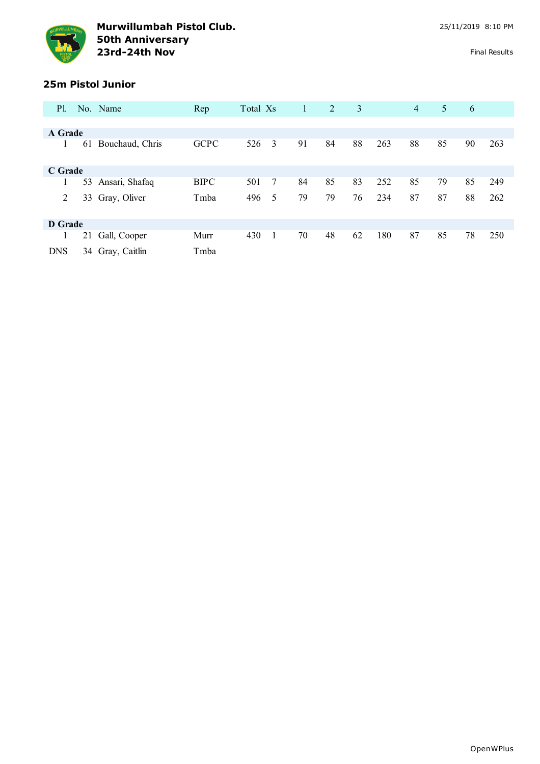

## **25m Pistol Junior**

| <b>P</b> l. |    | No. Name         | Rep         | Total Xs |   | 1  | 2  | 3  |     | $\overline{4}$ | 5  | 6  |     |
|-------------|----|------------------|-------------|----------|---|----|----|----|-----|----------------|----|----|-----|
|             |    |                  |             |          |   |    |    |    |     |                |    |    |     |
| A Grade     |    |                  |             |          |   |    |    |    |     |                |    |    |     |
|             | 61 | Bouchaud, Chris  | <b>GCPC</b> | 526      | 3 | 91 | 84 | 88 | 263 | 88             | 85 | 90 | 263 |
| C Grade     |    |                  |             |          |   |    |    |    |     |                |    |    |     |
|             | 53 | Ansari, Shafaq   | <b>BIPC</b> | 501      | 7 | 84 | 85 | 83 | 252 | 85             | 79 | 85 | 249 |
| 2           |    | 33 Gray, Oliver  | Tmba        | 496      | 5 | 79 | 79 | 76 | 234 | 87             | 87 | 88 | 262 |
| D Grade     |    |                  |             |          |   |    |    |    |     |                |    |    |     |
|             | 21 | Gall, Cooper     | Murr        | 430      |   | 70 | 48 | 62 | 180 | 87             | 85 | 78 | 250 |
| <b>DNS</b>  |    | 34 Gray, Caitlin | Tmba        |          |   |    |    |    |     |                |    |    |     |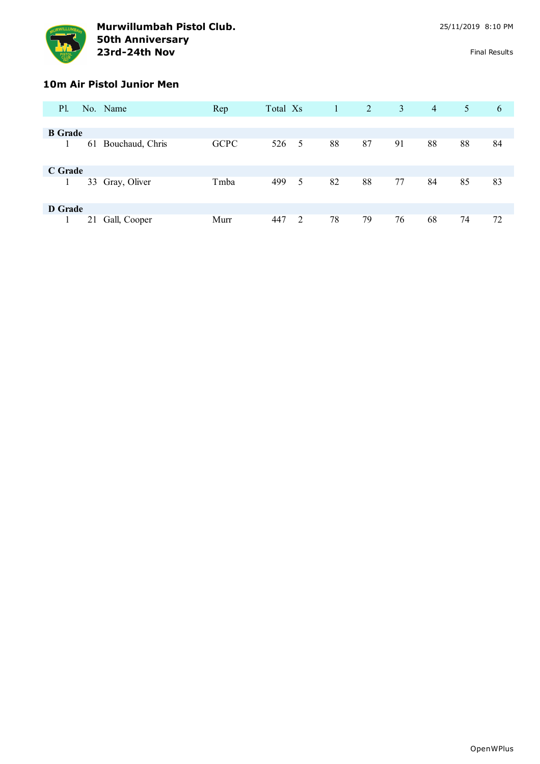

#### **10m Air Pistol Junior Men**

| P1.            |    | No. Name        | Rep         | Total Xs |   | -1 | 2  | $\mathbf{3}$ | $\overline{4}$ | 5  | 6  |
|----------------|----|-----------------|-------------|----------|---|----|----|--------------|----------------|----|----|
|                |    |                 |             |          |   |    |    |              |                |    |    |
| <b>B</b> Grade |    |                 |             |          |   |    |    |              |                |    |    |
|                | 61 | Bouchaud, Chris | <b>GCPC</b> | 526 5    |   | 88 | 87 | 91           | 88             | 88 | 84 |
| C Grade        |    |                 |             |          |   |    |    |              |                |    |    |
|                |    | 33 Gray, Oliver | Tmba        | 499      | 5 | 82 | 88 | 77           | 84             | 85 | 83 |
| D Grade        |    |                 |             |          |   |    |    |              |                |    |    |
|                | 21 | Gall, Cooper    | Murr        | 447      | 2 | 78 | 79 | 76           | 68             | 74 | 72 |